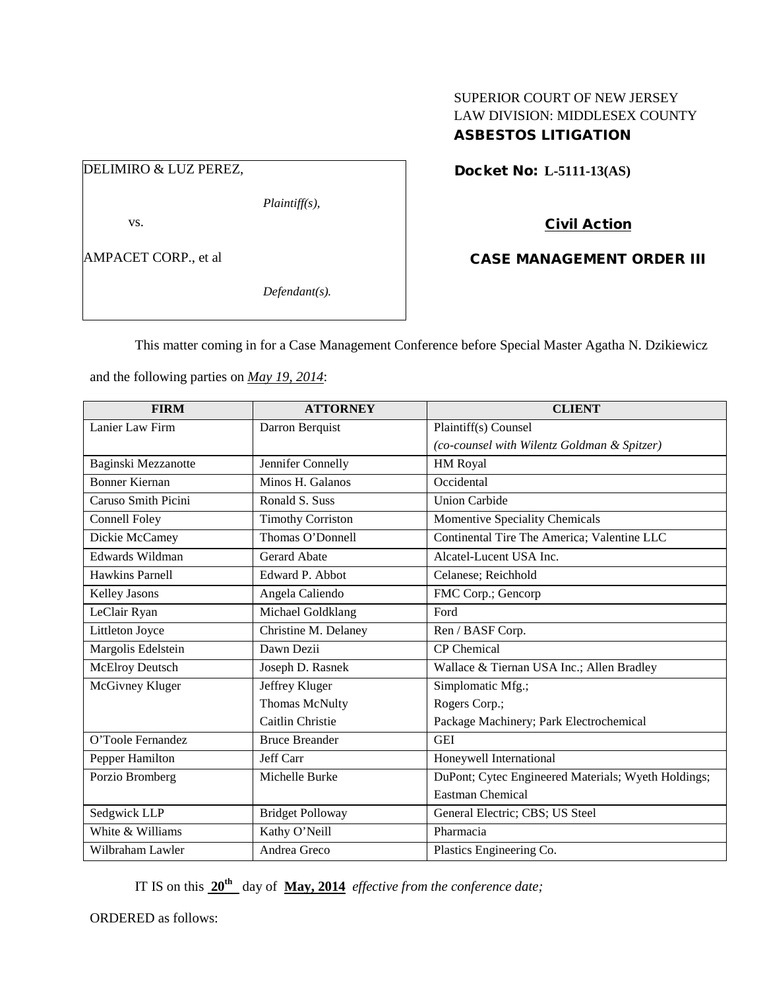### SUPERIOR COURT OF NEW JERSEY LAW DIVISION: MIDDLESEX COUNTY ASBESTOS LITIGATION

## DELIMIRO & LUZ PEREZ,

*Plaintiff(s),*

vs.

AMPACET CORP., et al

*Defendant(s).*

## Docket No: **L-5111-13(AS)**

# Civil Action

### CASE MANAGEMENT ORDER III

This matter coming in for a Case Management Conference before Special Master Agatha N. Dzikiewicz

and the following parties on *May 19, 2014*:

| <b>FIRM</b>            | <b>ATTORNEY</b>          | <b>CLIENT</b>                                       |
|------------------------|--------------------------|-----------------------------------------------------|
| Lanier Law Firm        | Darron Berquist          | Plaintiff(s) Counsel                                |
|                        |                          | (co-counsel with Wilentz Goldman & Spitzer)         |
| Baginski Mezzanotte    | Jennifer Connelly        | HM Royal                                            |
| <b>Bonner Kiernan</b>  | Minos H. Galanos         | Occidental                                          |
| Caruso Smith Picini    | Ronald S. Suss           | <b>Union Carbide</b>                                |
| Connell Foley          | <b>Timothy Corriston</b> | Momentive Speciality Chemicals                      |
| Dickie McCamey         | Thomas O'Donnell         | Continental Tire The America; Valentine LLC         |
| Edwards Wildman        | <b>Gerard Abate</b>      | Alcatel-Lucent USA Inc.                             |
| <b>Hawkins Parnell</b> | Edward P. Abbot          | Celanese; Reichhold                                 |
| Kelley Jasons          | Angela Caliendo          | FMC Corp.; Gencorp                                  |
| LeClair Ryan           | Michael Goldklang        | Ford                                                |
| Littleton Joyce        | Christine M. Delaney     | Ren / BASF Corp.                                    |
| Margolis Edelstein     | Dawn Dezii               | <b>CP</b> Chemical                                  |
| <b>McElroy Deutsch</b> | Joseph D. Rasnek         | Wallace & Tiernan USA Inc.; Allen Bradley           |
| McGivney Kluger        | Jeffrey Kluger           | Simplomatic Mfg.;                                   |
|                        | Thomas McNulty           | Rogers Corp.;                                       |
|                        | Caitlin Christie         | Package Machinery; Park Electrochemical             |
| O'Toole Fernandez      | <b>Bruce Breander</b>    | <b>GEI</b>                                          |
| Pepper Hamilton        | Jeff Carr                | Honeywell International                             |
| Porzio Bromberg        | Michelle Burke           | DuPont; Cytec Engineered Materials; Wyeth Holdings; |
|                        |                          | <b>Eastman Chemical</b>                             |
| Sedgwick LLP           | <b>Bridget Polloway</b>  | General Electric; CBS; US Steel                     |
| White & Williams       | Kathy O'Neill            | Pharmacia                                           |
| Wilbraham Lawler       | Andrea Greco             | Plastics Engineering Co.                            |

IT IS on this **20th** day of **May, 2014** *effective from the conference date;*

ORDERED as follows: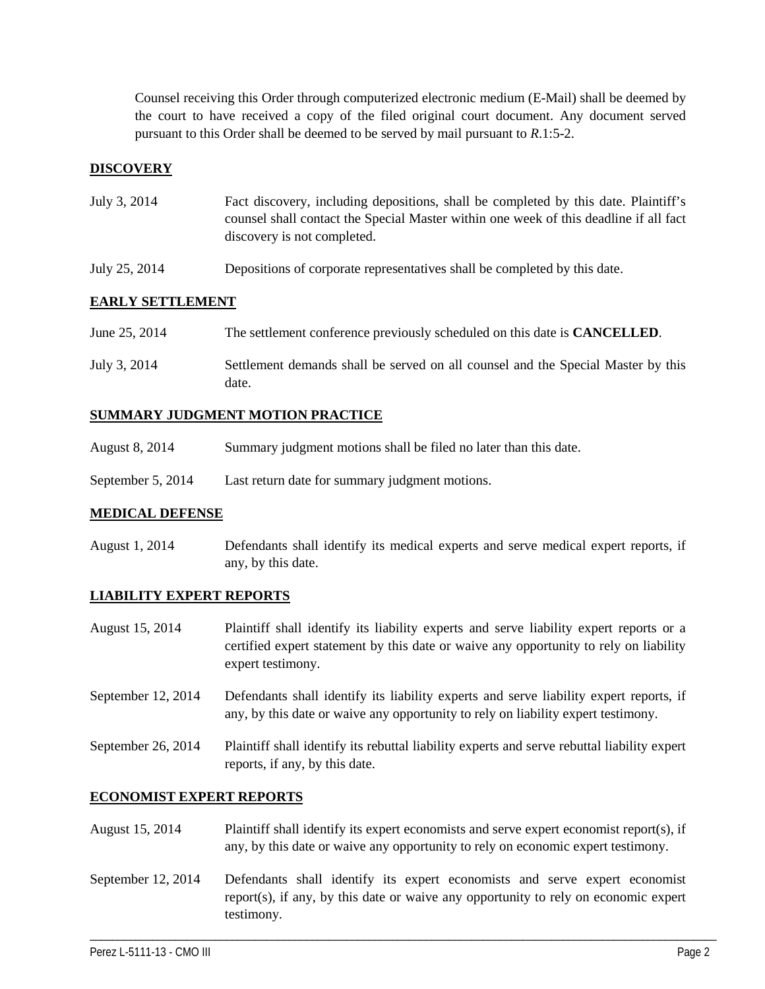Counsel receiving this Order through computerized electronic medium (E-Mail) shall be deemed by the court to have received a copy of the filed original court document. Any document served pursuant to this Order shall be deemed to be served by mail pursuant to *R*.1:5-2.

### **DISCOVERY**

| July 3, 2014 | Fact discovery, including depositions, shall be completed by this date. Plaintiff's   |
|--------------|---------------------------------------------------------------------------------------|
|              | counsel shall contact the Special Master within one week of this deadline if all fact |
|              | discovery is not completed.                                                           |

July 25, 2014 Depositions of corporate representatives shall be completed by this date.

#### **EARLY SETTLEMENT**

| June 25, 2014 | The settlement conference previously scheduled on this date is <b>CANCELLED</b> .         |
|---------------|-------------------------------------------------------------------------------------------|
| July 3, 2014  | Settlement demands shall be served on all counsel and the Special Master by this<br>date. |

#### **SUMMARY JUDGMENT MOTION PRACTICE**

- August 8, 2014 Summary judgment motions shall be filed no later than this date.
- September 5, 2014 Last return date for summary judgment motions.

#### **MEDICAL DEFENSE**

August 1, 2014 Defendants shall identify its medical experts and serve medical expert reports, if any, by this date.

#### **LIABILITY EXPERT REPORTS**

- August 15, 2014 Plaintiff shall identify its liability experts and serve liability expert reports or a certified expert statement by this date or waive any opportunity to rely on liability expert testimony.
- September 12, 2014 Defendants shall identify its liability experts and serve liability expert reports, if any, by this date or waive any opportunity to rely on liability expert testimony.
- September 26, 2014 Plaintiff shall identify its rebuttal liability experts and serve rebuttal liability expert reports, if any, by this date.

#### **ECONOMIST EXPERT REPORTS**

- August 15, 2014 Plaintiff shall identify its expert economists and serve expert economist report(s), if any, by this date or waive any opportunity to rely on economic expert testimony.
- September 12, 2014 Defendants shall identify its expert economists and serve expert economist report(s), if any, by this date or waive any opportunity to rely on economic expert testimony.

\_\_\_\_\_\_\_\_\_\_\_\_\_\_\_\_\_\_\_\_\_\_\_\_\_\_\_\_\_\_\_\_\_\_\_\_\_\_\_\_\_\_\_\_\_\_\_\_\_\_\_\_\_\_\_\_\_\_\_\_\_\_\_\_\_\_\_\_\_\_\_\_\_\_\_\_\_\_\_\_\_\_\_\_\_\_\_\_\_\_\_\_\_\_\_\_\_\_\_\_\_\_\_\_\_\_\_\_\_\_